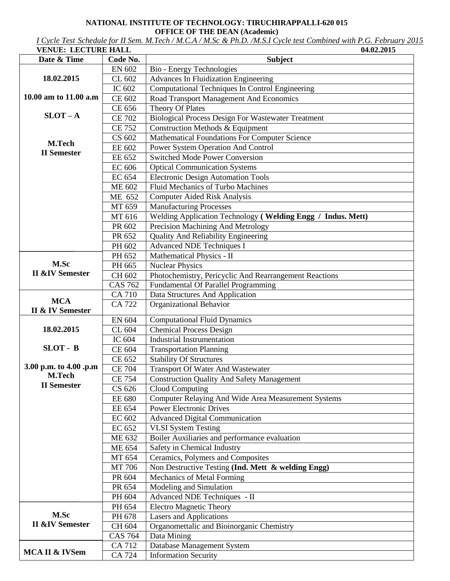## **NATIONAL INSTITUTE OF TECHNOLOGY: TIRUCHIRAPPALLI-620 015 OFFICE OF THE DEAN (Academic)**

*I Cycle Test Schedule for II Sem. M.Tech / M.C.A / M.Sc & Ph.D. /M.S.I Cycle test Combined with P.G. February 2015* 

| <b>VENUE: LECTURE HALL</b>     |                | 04.02.2015                                                  |
|--------------------------------|----------------|-------------------------------------------------------------|
| Date & Time                    | Code No.       | <b>Subject</b>                                              |
|                                | <b>EN 602</b>  | Bio - Energy Technologies                                   |
| 18.02.2015                     | CL 602         | Advances In Fluidization Engineering                        |
|                                | IC 602         | Computational Techniques In Control Engineering             |
| 10.00 am to 11.00 a.m          | CE 602         | Road Transport Management And Economics                     |
|                                | CE 656         | Theory Of Plates                                            |
| $SLOT - A$                     | <b>CE 702</b>  | <b>Biological Process Design For Wastewater Treatment</b>   |
|                                | <b>CE 752</b>  | Construction Methods & Equipment                            |
|                                | CS 602         | <b>Mathematical Foundations For Computer Science</b>        |
| M.Tech                         | EE 602         | Power System Operation And Control                          |
| <b>II</b> Semester             | EE 652         | <b>Switched Mode Power Conversion</b>                       |
|                                | <b>EC 606</b>  | <b>Optical Communication Systems</b>                        |
|                                | EC 654         | <b>Electronic Design Automation Tools</b>                   |
|                                | ME 602         | <b>Fluid Mechanics of Turbo Machines</b>                    |
|                                | ME 652         | <b>Computer Aided Risk Analysis</b>                         |
|                                | MT 659         | <b>Manufacturing Processes</b>                              |
|                                | MT 616         | Welding Application Technology (Welding Engg / Indus. Mett) |
|                                | PR 602         | Precision Machining And Metrology                           |
|                                | PR 652         | <b>Quality And Reliability Engineering</b>                  |
|                                | PH 602         | <b>Advanced NDE Techniques I</b>                            |
|                                | PH 652         | Mathematical Physics - II                                   |
| M.Sc                           | PH 665         | <b>Nuclear Physics</b>                                      |
| <b>II &amp;IV Semester</b>     | CH 602         | Photochemistry, Pericyclic And Rearrangement Reactions      |
|                                | <b>CAS 762</b> | Fundamental Of Parallel Programming                         |
|                                | CA 710         | Data Structures And Application                             |
| <b>MCA</b><br>II & IV Semester | <b>CA 722</b>  | Organizational Behavior                                     |
|                                | EN 604         | <b>Computational Fluid Dynamics</b>                         |
| 18.02.2015                     | CL 604         | <b>Chemical Process Design</b>                              |
|                                | IC 604         | <b>Industrial Instrumentation</b>                           |
| SLOT - B                       | CE 604         | <b>Transportation Planning</b>                              |
|                                | CE 652         | <b>Stability Of Structures</b>                              |
| 3.00 p.m. to 4.00 .p.m         | <b>CE 704</b>  | <b>Transport Of Water And Wastewater</b>                    |
| <b>M.Tech</b>                  | <b>CE 754</b>  | <b>Construction Quality And Safety Management</b>           |
| <b>II</b> Semester             | CS 626         | Cloud Computing                                             |
|                                | <b>EE 680</b>  | Computer Relaying And Wide Area Measurement Systems         |
|                                | EE 654         | <b>Power Electronic Drives</b>                              |
|                                | EC 602         | <b>Advanced Digital Communication</b>                       |
|                                | EC 652         | <b>VLSI System Testing</b>                                  |
|                                | ME 632         | Boiler Auxiliaries and performance evaluation               |
|                                | ME 654         | Safety in Chemical Industry                                 |
|                                | MT 654         | Ceramics, Polymers and Composites                           |
|                                | MT 706         | Non Destructive Testing (Ind. Mett & welding Engg)          |
|                                | PR 604         | Mechanics of Metal Forming                                  |
|                                | PR 654         | Modeling and Simulation                                     |
|                                | PH 604         | Advanced NDE Techniques - II                                |
|                                | PH 654         | <b>Electro Magnetic Theory</b>                              |
| M.Sc                           | PH 678         | <b>Lasers and Applications</b>                              |
| <b>II &amp;IV Semester</b>     | CH 604         | Organomettalic and Bioinorganic Chemistry                   |
|                                | <b>CAS 764</b> | Data Mining                                                 |
|                                | CA 712         | Database Management System                                  |
| MCA II & IVSem                 | CA 724         | <b>Information Security</b>                                 |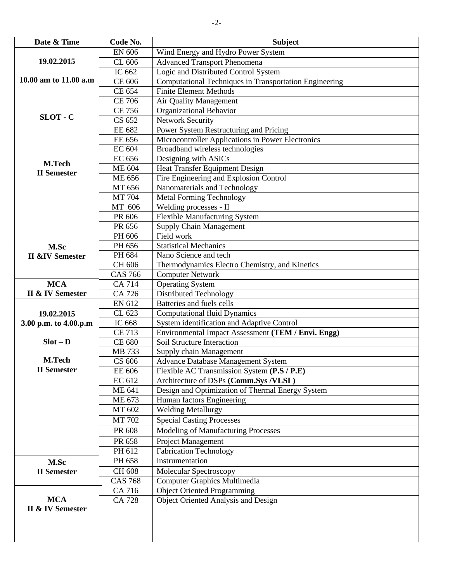| Date & Time                    | Code No.         | <b>Subject</b>                                                                          |
|--------------------------------|------------------|-----------------------------------------------------------------------------------------|
|                                | EN 606           | Wind Energy and Hydro Power System                                                      |
| 19.02.2015                     | CL 606           | <b>Advanced Transport Phenomena</b>                                                     |
|                                | IC 662           | Logic and Distributed Control System                                                    |
| 10.00 am to 11.00 a.m          | CE 606           | Computational Techniques in Transportation Engineering                                  |
|                                | CE 654           | <b>Finite Element Methods</b>                                                           |
|                                | <b>CE 706</b>    | Air Quality Management                                                                  |
|                                | <b>CE 756</b>    | <b>Organizational Behavior</b>                                                          |
| SLOT - C                       | CS 652           | Network Security                                                                        |
|                                | EE 682           | Power System Restructuring and Pricing                                                  |
|                                | EE 656           | Microcontroller Applications in Power Electronics                                       |
|                                | EC 604           | Broadband wireless technologies                                                         |
| M.Tech                         | EC 656           | Designing with ASICs                                                                    |
| <b>II</b> Semester             | <b>ME 604</b>    | Heat Transfer Equipment Design                                                          |
|                                | <b>ME 656</b>    | Fire Engineering and Explosion Control                                                  |
|                                | MT 656           | Nanomaterials and Technology                                                            |
|                                | MT 704           | <b>Metal Forming Technology</b>                                                         |
|                                | MT 606           | Welding processes - II                                                                  |
|                                | PR 606           | Flexible Manufacturing System                                                           |
|                                | PR 656           | <b>Supply Chain Management</b>                                                          |
|                                | PH 606           | Field work                                                                              |
| M.Sc                           | PH 656           | <b>Statistical Mechanics</b>                                                            |
| <b>II &amp;IV Semester</b>     | PH 684           | Nano Science and tech                                                                   |
|                                | CH 606           | Thermodynamics Electro Chemistry, and Kinetics                                          |
|                                | <b>CAS 766</b>   | <b>Computer Network</b>                                                                 |
| <b>MCA</b>                     | <b>CA 714</b>    | <b>Operating System</b>                                                                 |
| <b>II &amp; IV Semester</b>    | CA 726           | <b>Distributed Technology</b>                                                           |
|                                | EN 612           | Batteries and fuels cells                                                               |
| 19.02.2015                     | CL 623           | <b>Computational fluid Dynamics</b>                                                     |
| 3.00 p.m. to 4.00.p.m          | IC 668           | System identification and Adaptive Control                                              |
|                                | <b>CE 713</b>    | Environmental Impact Assessment (TEM / Envi. Engg)<br><b>Soil Structure Interaction</b> |
| $Slot - D$                     | <b>CE 680</b>    |                                                                                         |
| M.Tech                         | MB 733<br>CS 606 | Supply chain Management                                                                 |
| <b>II</b> Semester             |                  | <b>Advance Database Management System</b>                                               |
|                                | EE 606<br>EC 612 | Flexible AC Transmission System (P.S / P.E)<br>Architecture of DSPs (Comm.Sys /VLSI)    |
|                                | ME 641           | Design and Optimization of Thermal Energy System                                        |
|                                | ME 673           | Human factors Engineering                                                               |
|                                | MT 602           | <b>Welding Metallurgy</b>                                                               |
|                                | MT 702           | <b>Special Casting Processes</b>                                                        |
|                                |                  |                                                                                         |
|                                | PR 608           | Modeling of Manufacturing Processes                                                     |
|                                | PR 658           | Project Management                                                                      |
|                                | PH 612           | <b>Fabrication Technology</b>                                                           |
| M.Sc                           | PH 658           | Instrumentation                                                                         |
| <b>II</b> Semester             | CH 608           | Molecular Spectroscopy                                                                  |
|                                | <b>CAS 768</b>   | Computer Graphics Multimedia                                                            |
|                                | CA 716           | <b>Object Oriented Programming</b>                                                      |
| <b>MCA</b><br>II & IV Semester | <b>CA 728</b>    | <b>Object Oriented Analysis and Design</b>                                              |
|                                |                  |                                                                                         |
|                                |                  |                                                                                         |
|                                |                  |                                                                                         |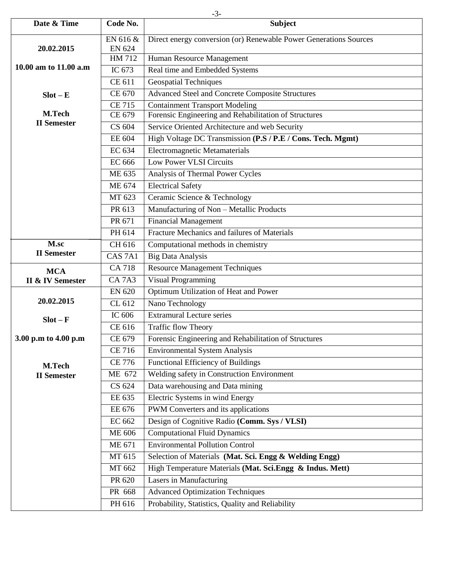| Date & Time                  | Code No.           | <b>Subject</b>                                                    |
|------------------------------|--------------------|-------------------------------------------------------------------|
|                              | EN 616 &           | Direct energy conversion (or) Renewable Power Generations Sources |
| 20.02.2015                   | <b>EN 624</b>      |                                                                   |
| 10.00 am to 11.00 a.m        | HM 712             | Human Resource Management                                         |
|                              | IC 673             | Real time and Embedded Systems                                    |
|                              | CE 611             | <b>Geospatial Techniques</b>                                      |
| $Slot - E$                   | CE 670             | <b>Advanced Steel and Concrete Composite Structures</b>           |
|                              | <b>CE 715</b>      | <b>Containment Transport Modeling</b>                             |
| M.Tech<br><b>II</b> Semester | CE 679             | Forensic Engineering and Rehabilitation of Structures             |
|                              | CS 604             | Service Oriented Architecture and web Security                    |
|                              | EE 604             | High Voltage DC Transmission (P.S / P.E / Cons. Tech. Mgmt)       |
|                              | EC 634             | <b>Electromagnetic Metamaterials</b>                              |
|                              | <b>EC 666</b>      | <b>Low Power VLSI Circuits</b>                                    |
|                              | ME 635             | Analysis of Thermal Power Cycles                                  |
|                              | ME 674             | <b>Electrical Safety</b>                                          |
|                              | MT 623             | Ceramic Science & Technology                                      |
|                              | PR 613             | Manufacturing of Non - Metallic Products                          |
|                              | PR 671             | <b>Financial Management</b>                                       |
|                              | PH 614             | Fracture Mechanics and failures of Materials                      |
| M.sc                         | CH 616             | Computational methods in chemistry                                |
| <b>II</b> Semester           | CAS <sub>7A1</sub> | <b>Big Data Analysis</b>                                          |
| <b>MCA</b>                   | <b>CA 718</b>      | <b>Resource Management Techniques</b>                             |
| II & IV Semester             | <b>CA7A3</b>       | <b>Visual Programming</b>                                         |
|                              | <b>EN 620</b>      | Optimum Utilization of Heat and Power                             |
| 20.02.2015                   | CL 612             | Nano Technology                                                   |
| $Slot - F$                   | IC 606             | <b>Extramural Lecture series</b>                                  |
|                              | CE 616             | <b>Traffic flow Theory</b>                                        |
| 3.00 p.m to 4.00 p.m         | CE 679             | Forensic Engineering and Rehabilitation of Structures             |
|                              | <b>CE 716</b>      | <b>Environmental System Analysis</b>                              |
| M.Tech                       | <b>CE 776</b>      | <b>Functional Efficiency of Buildings</b>                         |
| <b>II</b> Semester           | ME 672             | Welding safety in Construction Environment                        |
|                              | CS 624             | Data warehousing and Data mining                                  |
|                              | EE 635             | Electric Systems in wind Energy                                   |
|                              | EE 676             | PWM Converters and its applications                               |
|                              | EC 662             | Design of Cognitive Radio (Comm. Sys / VLSI)                      |
|                              | <b>ME 606</b>      | <b>Computational Fluid Dynamics</b>                               |
|                              | ME 671             | <b>Environmental Pollution Control</b>                            |
|                              | MT 615             | Selection of Materials (Mat. Sci. Engg & Welding Engg)            |
|                              | MT 662             | High Temperature Materials (Mat. Sci.Engg $\&$ Indus. Mett)       |
|                              | PR 620             | Lasers in Manufacturing                                           |
|                              | PR 668             | <b>Advanced Optimization Techniques</b>                           |
|                              | PH 616             | Probability, Statistics, Quality and Reliability                  |